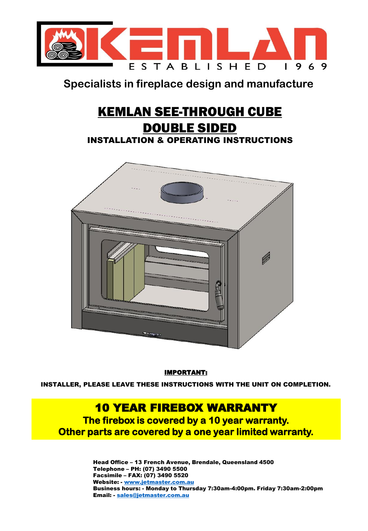

# **Specialists in fireplace design and manufacture**

# KEMLAN SEE-THROUGH CUBE DOUBLE SIDED

INSTALLATION & OPERATING INSTRUCTIONS



### IMPORTANT:

INSTALLER, PLEASE LEAVE THESE INSTRUCTIONS WITH THE UNIT ON COMPLETION.

# 10 YEAR FIREBOX WARRANTY

**The firebox is covered by a 10 year warranty. Other parts are covered by a one year limited warranty.**

> Head Office – 13 French Avenue, Brendale, Queensland 4500 Telephone – PH: (07) 3490 5500 Facsimile – FAX: (07) 3490 5520 Website: - [www.jetmaster.com.au](http://www.kemlan.com/) Business hours: - Monday to Thursday 7:30am-4:00pm. Friday 7:30am-2:00pm Email: - [sales@jetmaster.com.au](mailto:sales@kemlan.com.au)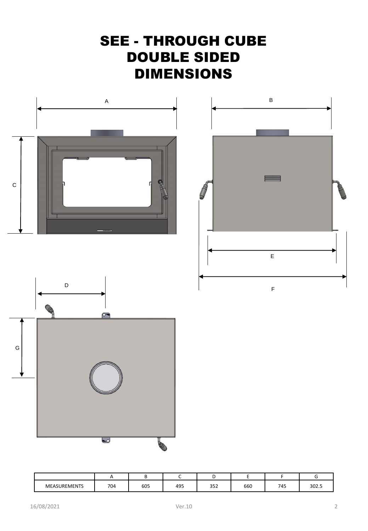# SEE - THROUGH CUBE DOUBLE SIDED DIMENSIONS



| <b>MEASUREMENTS</b> | 704 | 605 | 495 | 200<br>352 | 660 | 745 | 302.5 |
|---------------------|-----|-----|-----|------------|-----|-----|-------|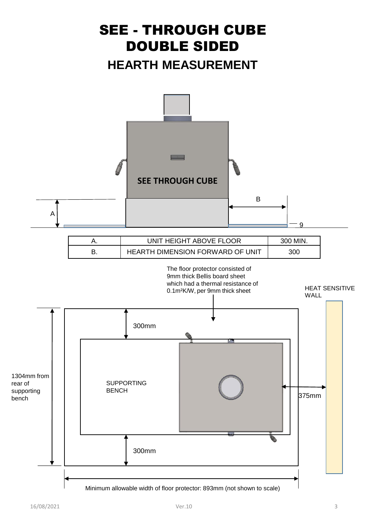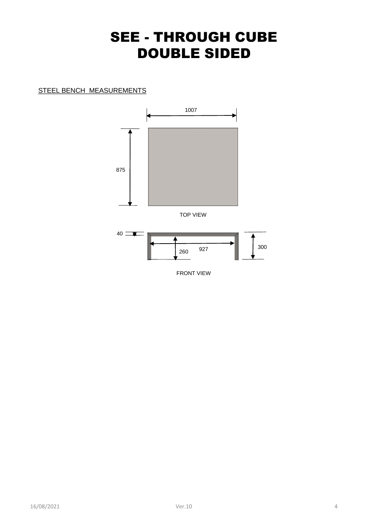# SEE - THROUGH CUBE DOUBLE SIDED

STEEL BENCH MEASUREMENTS

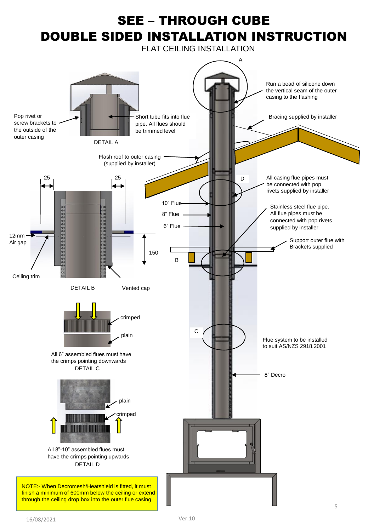

DETAIL D All 8"-10" assembled flues must have the crimps pointing upwards

finish a minimum of 600mm below the ceiling or extend through the ceiling drop box into the outer flue casing NOTE:- When Decromesh/Heatshield is fitted, it must

9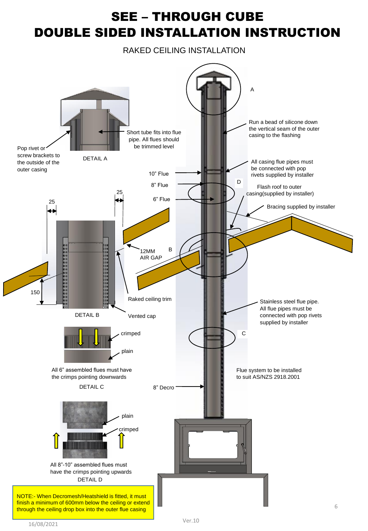# SEE – THROUGH CUBE DOUBLE SIDED INSTALLATION INSTRUCTION

RAKED CEILING INSTALLATION

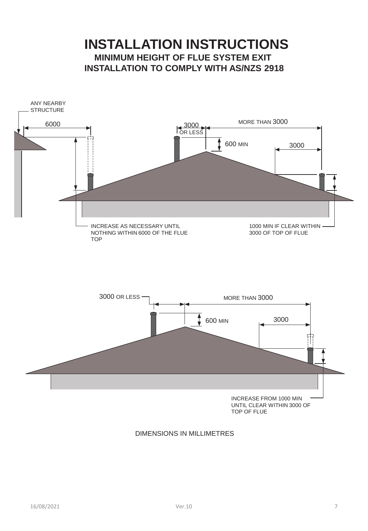# **INSTALLATION INSTRUCTIONS MINIMUM HEIGHT OF FLUE SYSTEM EXIT INSTALLATION TO COMPLY WITH AS/NZS 2918**



### DIMENSIONS IN MILLIMETRES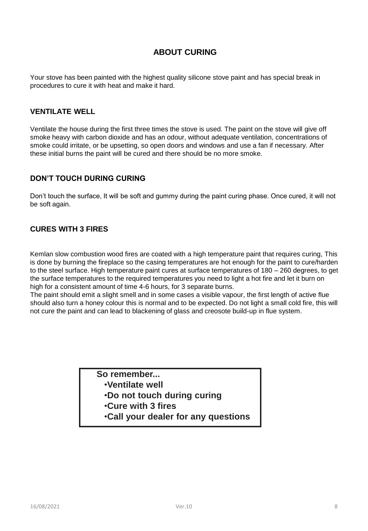## **ABOUT CURING**

Your stove has been painted with the highest quality silicone stove paint and has special break in procedures to cure it with heat and make it hard.

### **VENTILATE WELL**

Ventilate the house during the first three times the stove is used. The paint on the stove will give off smoke heavy with carbon dioxide and has an odour, without adequate ventilation, concentrations of smoke could irritate, or be upsetting, so open doors and windows and use a fan if necessary. After these initial burns the paint will be cured and there should be no more smoke.

### **DON'T TOUCH DURING CURING**

Don't touch the surface, It will be soft and gummy during the paint curing phase. Once cured, it will not be soft again.

### **CURES WITH 3 FIRES**

Kemlan slow combustion wood fires are coated with a high temperature paint that requires curing, This is done by burning the fireplace so the casing temperatures are hot enough for the paint to cure/harden to the steel surface. High temperature paint cures at surface temperatures of 180 – 260 degrees, to get the surface temperatures to the required temperatures you need to light a hot fire and let it burn on high for a consistent amount of time 4-6 hours, for 3 separate burns.

The paint should emit a slight smell and in some cases a visible vapour, the first length of active flue should also turn a honey colour this is normal and to be expected. Do not light a small cold fire, this will not cure the paint and can lead to blackening of glass and creosote build-up in flue system.

## **So remember...**

- •**Ventilate well**
- •**Do not touch during curing**
- •**Cure with 3 fires**
- •**Call your dealer for any questions**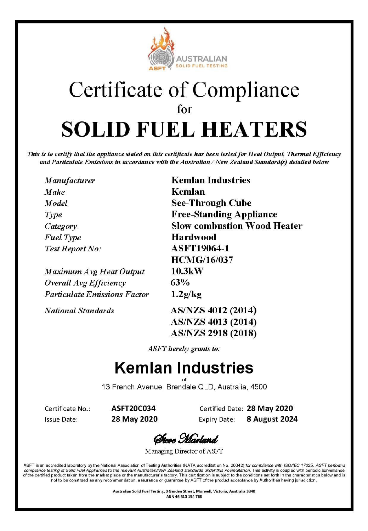

# **Certificate of Compliance** for **SOLID FUEL HEATERS**

This is to certify that the appliance stated on this certificate has been tested for Heat Output, Thermal Efficiency and Particulate Emissions in accordance with the Australian / New Zealand Standard(s) detailed below

Manufacturer Make Model Type  $Category$ **Fuel Type** Test Report No:

Maximum Avg Heat Output Overall Avg Efficiency **Particulate Emissions Factor** 

**National Standards** 

**Kemlan Industries Kemlan See-Through Cube Free-Standing Appliance Slow combustion Wood Heater Hardwood ASFT19064-1 HCMG/16/037**  $10.3\mathrm{kW}$  $63%$  $1.2g/kg$ AS/NZS 4012 (2014) AS/NZS 4013 (2014) **AS/NZS 2918 (2018)** 

**ASFT** hereby grants to:

# **Kemlan Industries**

13 French Avenue, Brendale QLD, Australia, 4500

Certificate No.: Issue Date:

**ASFT20C034** 28 May 2020

Certified Date: 28 May 2020 **8 August 2024 Expiry Date:** 

*Stove Marland* 

Managing Director of ASFT

ASFT is an accredited laboratory by the National Association of Testing Authorities (NATA accreditation No. 20042) for compliance with ISO/IEC 17025. ASFT performs compliance testing of Solid Fuel Appliances to the relevant Australian/New Zealand standards under this Accreditation. This activity is coupled with periodic surveillance of the certified product taken from the market place or the manufacturer's factory. This certification is subject to the conditions set forth in the characteristics below and is not to be construed as any recommendation, assurance or guarantee by ASFT of the product acceptance by Authorities having jurisdiction.

Australian Solid Fuel Testing, 3 Garden Street, Morwell, Victoria, Australia 3840 ABN 46 610 154 768 16/08/2021 Ver.10 9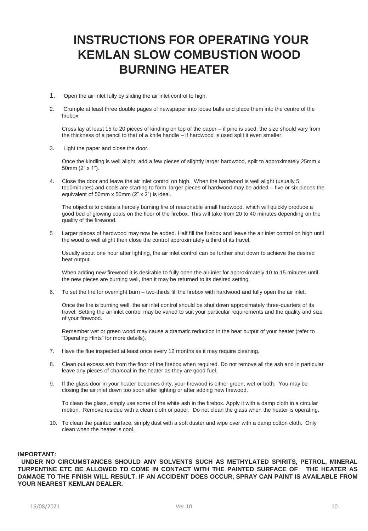# **INSTRUCTIONS FOR OPERATING YOUR KEMLAN SLOW COMBUSTION WOOD BURNING HEATER**

- 1. Open the air inlet fully by sliding the air inlet control to high.
- 2. Crumple at least three double pages of newspaper into loose balls and place them into the centre of the firebox.

Cross lay at least 15 to 20 pieces of kindling on top of the paper – if pine is used, the size should vary from the thickness of a pencil to that of a knife handle – if hardwood is used split it even smaller.

3. Light the paper and close the door.

Once the kindling is well alight, add a few pieces of slightly larger hardwood, split to approximately 25mm x 50mm (2" x 1").

4. Close the door and leave the air inlet control on high. When the hardwood is well alight (usually 5 to10minutes) and coals are starting to form, larger pieces of hardwood may be added – five or six pieces the equivalent of 50mm x 50mm (2" x 2") is ideal.

The object is to create a fiercely burning fire of reasonable small hardwood, which will quickly produce a good bed of glowing coals on the floor of the firebox. This will take from 20 to 40 minutes depending on the quality of the firewood.

5 Larger pieces of hardwood may now be added. Half fill the firebox and leave the air inlet control on high until the wood is well alight then close the control approximately a third of its travel.

Usually about one hour after lighting, the air inlet control can be further shut down to achieve the desired heat output.

When adding new firewood it is desirable to fully open the air inlet for approximately 10 to 15 minutes until the new pieces are burning well, then it may be returned to its desired setting.

6. To set the fire for overnight burn – two-thirds fill the firebox with hardwood and fully open the air inlet.

Once the fire is burning well, the air inlet control should be shut down approximately three-quarters of its travel. Setting the air inlet control may be varied to suit your particular requirements and the quality and size of your firewood.

Remember wet or green wood may cause a dramatic reduction in the heat output of your heater (refer to "Operating Hints" for more details).

- 7. Have the flue inspected at least once every 12 months as it may require cleaning.
- 8. Clean out excess ash from the floor of the firebox when required. Do not remove all the ash and in particular leave any pieces of charcoal in the heater as they are good fuel.
- 9. If the glass door in your heater becomes dirty, your firewood is either green, wet or both. You may be closing the air inlet down too soon after lighting or after adding new firewood.

To clean the glass, simply use some of the white ash in the firebox. Apply it with a damp cloth in a circular motion. Remove residue with a clean cloth or paper. Do not clean the glass when the heater is operating.

10. To clean the painted surface, simply dust with a soft duster and wipe over with a damp cotton cloth. Only clean when the heater is cool.

#### **IMPORTANT:**

**UNDER NO CIRCUMSTANCES SHOULD ANY SOLVENTS SUCH AS METHYLATED SPIRITS, PETROL, MINERAL TURPENTINE ETC BE ALLOWED TO COME IN CONTACT WITH THE PAINTED SURFACE OF THE HEATER AS DAMAGE TO THE FINISH WILL RESULT. IF AN ACCIDENT DOES OCCUR, SPRAY CAN PAINT IS AVAILABLE FROM YOUR NEAREST KEMLAN DEALER.**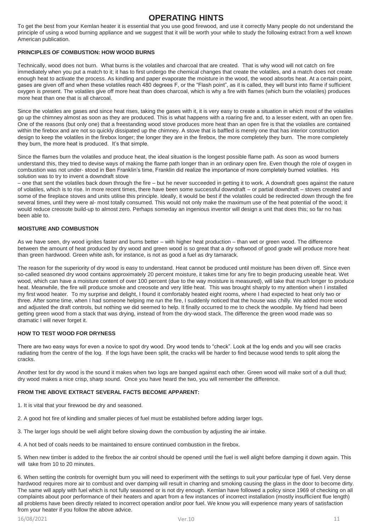## **OPERATING HINTS**

To get the best from your Kemlan heater it is essential that you use good firewood, and use it correctly Many people do not understand the principle of using a wood burning appliance and we suggest that it will be worth your while to study the following extract from a well known American publication.

#### **PRINCIPLES OF COMBUSTION: HOW WOOD BURNS**

Technically, wood does not burn. What burns is the volatiles and charcoal that are created. That is why wood will not catch on fire immediately when you put a match to it; it has to first undergo the chemical changes that create the volatiles, and a match does not create enough heat to activate the process. As kindling and paper evaporate the moisture in the wood, the wood absorbs heat. At a certain point, gases are given off and when these volatiles reach 480 degrees F, or the "Flash point", as it is called, they will burst into flame if sufficient oxygen is present. The volatiles give off more heat than does charcoal, which is why a fire with flames (which burn the volatiles) produces more heat than one that is all charcoal.

Since the volatiles are gases and since heat rises, taking the gases with it, it is very easy to create a situation in which most of the volatiles go up the chimney almost as soon as they are produced. This is what happens with a roaring fire and, to a lesser extent, with an open fire. One of the reasons (but only one) that a freestanding wood stove produces more heat than an open fire is that the volatiles are contained within the firebox and are not so quickly dissipated up the chimney. A stove that is baffled is merely one that has interior construction design to keep the volatiles in the firebox longer; the longer they are in the firebox, the more completely they burn. The more completely they burn, the more heat is produced. It's that simple.

Since the flames burn the volatiles and produce heat, the ideal situation is the longest possible flame path. As soon as wood burners understand this, they tried to devise ways of making the flame path longer than in an ordinary open fire. Even though the role of oxygen in combustion was not under- stood in Ben Franklin's time, Franklin did realize the importance of more completely burned volatiles. His solution was to try to invent a downdraft stove

– one that sent the volatiles back down through the fire – but he never succeeded in getting it to work. A downdraft goes against the nature of volatiles, which is to rise. In more recent times, there have been some successful downdraft – or partial downdraft – stoves created and some of the fireplace stoves and units utilise this principle. Ideally, it would be best if the volatiles could be redirected down through the fire several times, until they were al- most totally consumed. This would not only make the maximum use of the heat potential of the wood; it would reduce creosote build-up to almost zero. Perhaps someday an ingenious inventor will design a unit that does this; so far no has been able to.

#### **MOISTURE AND COMBUSTION**

As we have seen, dry wood ignites faster and burns better – with higher heat production – than wet or green wood. The difference between the amount of heat produced by dry wood and green wood is so great that a dry softwood of good grade will produce more heat than green hardwood. Green white ash, for instance, is not as good a fuel as dry tamarack.

The reason for the superiority of dry wood is easy to understand. Heat cannot be produced until moisture has been driven off. Since even so-called seasoned dry wood contains approximately 20 percent moisture, it takes time for any fire to begin producing useable heat. Wet wood, which can have a moisture content of over 100 percent (due to the way moisture is measured), will take that much longer to produce heat. Meanwhile, the fire will produce smoke and creosote and very little heat. This was brought sharply to my attention when I installed my first wood heater. To my surprise and delight, I found it comfortably heated eight rooms, where I had expected to heat only two or three. After some time, when I had someone helping me run the fire, I suddenly noticed that the house was chilly. We added more wood and adjusted the draft controls, but nothing we did seemed to help. It finally occurred to me to check the woodpile. My friend had been getting green wood from a stack that was drying, instead of from the dry-wood stack. The difference the green wood made was so dramatic I will never forget it.

#### **HOW TO TEST WOOD FOR DRYNESS**

There are two easy ways for even a novice to spot dry wood. Dry wood tends to "check". Look at the log ends and you will see cracks radiating from the centre of the log. If the logs have been split, the cracks will be harder to find because wood tends to split along the cracks.

Another test for dry wood is the sound it makes when two logs are banged against each other. Green wood will make sort of a dull thud; dry wood makes a nice crisp, sharp sound. Once you have heard the two, you will remember the difference.

#### **FROM THE ABOVE EXTRACT SEVERAL FACTS BECOME APPARENT:**

- 1. It is vital that your firewood be dry and seasoned.
- 2. A good hot fire of kindling and smaller pieces of fuel must be established before adding larger logs.
- 3. The larger logs should be well alight before slowing down the combustion by adjusting the air intake.
- 4. A hot bed of coals needs to be maintained to ensure continued combustion in the firebox.

5. When new timber is added to the firebox the air control should be opened until the fuel is well alight before damping it down again. This will take from 10 to 20 minutes.

6. When setting the controls for overnight burn you will need to experiment with the settings to suit your particular type of fuel. Very dense hardwood requires more air to combust and over damping will result in charring and smoking causing the glass in the door to become dirty. The same will apply with fuel which is not fully seasoned or is not dry enough. Kemlan have followed a policy since 1969 of checking on all complaints about poor performance of their heaters and apart from a few instances of incorrect installation (mostly insufficient flue length) all problems have been directly related to incorrect operation and/or poor fuel. We know you will experience many years of satisfaction from your heater if you follow the above advice.